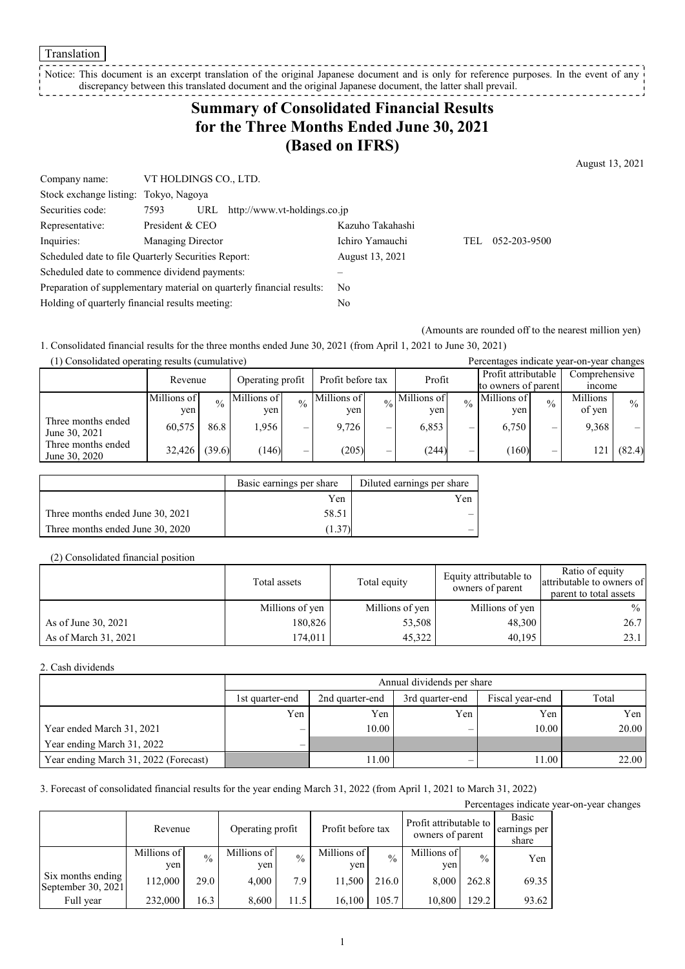Translation

Notice: This document is an excerpt translation of the original Japanese document and is only for reference purposes. In the event of any discrepancy between this translated document and the original Japanese document, the latter shall prevail.

# **Summary of Consolidated Financial Results for the Three Months Ended June 30, 2021 (Based on IFRS)**

August 13, 2021

| 052-203-9500 |
|--------------|
|              |
|              |
|              |
|              |
|              |

(Amounts are rounded off to the nearest million yen)

1. Consolidated financial results for the three months ended June 30, 2021 (from April 1, 2021 to June 30, 2021)

| (1) Consolidated operating results (cumulative) |             |               |             |               |             |                     |                                                  |               |               |               | Percentages indicate year-on-year changes |               |                     |  |               |  |
|-------------------------------------------------|-------------|---------------|-------------|---------------|-------------|---------------------|--------------------------------------------------|---------------|---------------|---------------|-------------------------------------------|---------------|---------------------|--|---------------|--|
|                                                 |             |               |             |               |             |                     | Profit before tax<br>Operating profit<br>Revenue |               |               | Profit        |                                           |               | Profit attributable |  | Comprehensive |  |
|                                                 |             |               |             |               |             | to owners of parent |                                                  |               | <i>n</i> come |               |                                           |               |                     |  |               |  |
|                                                 | Millions of | $\frac{0}{0}$ | Millions of | $\frac{0}{0}$ | Millions of |                     | $\frac{1}{20}$ Millions of                       | $\frac{0}{0}$ | Millions of   | $\frac{0}{0}$ | Millions                                  | $\frac{0}{0}$ |                     |  |               |  |
|                                                 | yen         |               | yen         |               | yen         |                     | ven                                              |               | ven           |               | of yen                                    |               |                     |  |               |  |
| Three months ended<br>June 30, 2021             | 60,575      | 86.8          | 1,956       | –             | 9.726       | —                   | 6,853                                            | —             | 6.750         | –             | 9.368                                     |               |                     |  |               |  |
| Three months ended<br>June 30, 2020             | 32,426      | (39.6)        | (146)       |               | (205)       | —                   | (244)                                            | —             | (160)         | –             | 21،                                       | (82.4)        |                     |  |               |  |

|                                  | Basic earnings per share | Diluted earnings per share |
|----------------------------------|--------------------------|----------------------------|
|                                  | Yen                      | Yen                        |
| Three months ended June 30, 2021 | 58.51                    |                            |
| Three months ended June 30, 2020 |                          |                            |

(2) Consolidated financial position

|                      | Total assets    | Total equity    | Equity attributable to<br>owners of parent | Ratio of equity<br>attributable to owners of<br>parent to total assets |
|----------------------|-----------------|-----------------|--------------------------------------------|------------------------------------------------------------------------|
|                      | Millions of yen | Millions of yen | Millions of yen                            | $\frac{0}{0}$                                                          |
| As of June 30, 2021  | 180,826         | 53,508          | 48,300                                     | 26.7                                                                   |
| As of March 31, 2021 | 174,011         | 45.322          | 40.195                                     | 23.1                                                                   |

2. Cash dividends

|                                       |                          | Annual dividends per share |                 |                 |       |  |  |  |
|---------------------------------------|--------------------------|----------------------------|-----------------|-----------------|-------|--|--|--|
|                                       | 1st quarter-end          | 2nd quarter-end            | 3rd quarter-end | Fiscal year-end | Total |  |  |  |
|                                       | Yen                      | Yen                        | Yen             | Yen             | Yen   |  |  |  |
| Year ended March 31, 2021             | $\overline{\phantom{m}}$ | 10.00                      | -               | 10.00           | 20.00 |  |  |  |
| Year ending March 31, 2022            | $\overline{\phantom{0}}$ |                            |                 |                 |       |  |  |  |
| Year ending March 31, 2022 (Forecast) |                          | 11.00                      | –               | 11.00           | 22.00 |  |  |  |

3. Forecast of consolidated financial results for the year ending March 31, 2022 (from April 1, 2021 to March 31, 2022)

Percentages indicate year-on-year changes

|                                         | Revenue            |               | Operating profit   |               | Profit before tax  |               | Profit attributable to<br>owners of parent |               | Basic<br>earnings per<br>share |
|-----------------------------------------|--------------------|---------------|--------------------|---------------|--------------------|---------------|--------------------------------------------|---------------|--------------------------------|
|                                         | Millions of<br>ven | $\frac{0}{0}$ | Millions of<br>yen | $\frac{0}{0}$ | Millions of<br>yen | $\frac{0}{0}$ | Millions of<br>ven                         | $\frac{0}{0}$ | Yen                            |
| Six months ending<br>September 30, 2021 | 112,000            | 29.0          | 4.000              | 7.9           | 11.500             | 216.0         | 8.000                                      | 262.8         | 69.35                          |
| Full year                               | 232,000            | 16.3          | 8,600              | 11.5          | 16.100             | 105.7         | 10.800                                     | 129.2         | 93.62                          |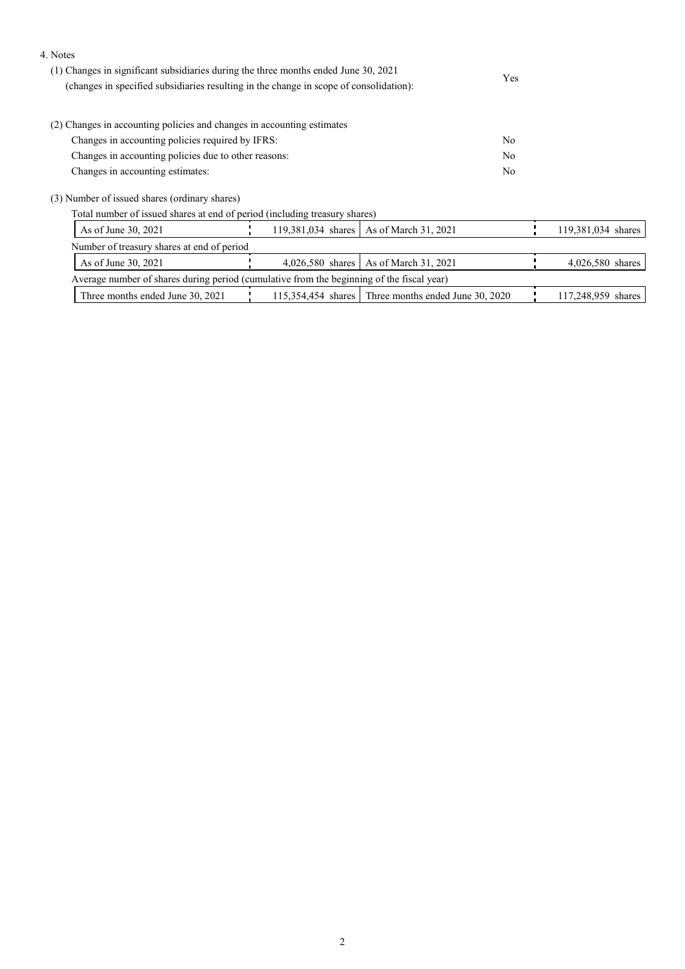#### 4. Notes

| (1) Changes in significant subsidiaries during the three months ended June 30, 2021<br>(changes in specified subsidiaries resulting in the change in scope of consolidation): | <b>Yes</b> |
|-------------------------------------------------------------------------------------------------------------------------------------------------------------------------------|------------|
| (2) Changes in accounting policies and changes in accounting estimates                                                                                                        |            |
|                                                                                                                                                                               |            |
| Changes in accounting policies required by IFRS:                                                                                                                              | No         |
| Changes in accounting policies due to other reasons:                                                                                                                          | No         |
| Changes in accounting estimates:                                                                                                                                              | No         |

(3) Number of issued shares (ordinary shares)

Total number of issued shares at end of period (including treasury shares)

| As of June 30, 2021                                                                       |  |  |  | 119,381,034 shares   As of March 31, 2021           |  | 119,381,034 shares |
|-------------------------------------------------------------------------------------------|--|--|--|-----------------------------------------------------|--|--------------------|
| Number of treasury shares at end of period                                                |  |  |  |                                                     |  |                    |
| As of June 30, 2021                                                                       |  |  |  | 4,026,580 shares   As of March 31, 2021             |  | $4,026,580$ shares |
| Average number of shares during period (cumulative from the beginning of the fiscal year) |  |  |  |                                                     |  |                    |
| Three months ended June 30, 2021                                                          |  |  |  | 115,354,454 shares Three months ended June 30, 2020 |  | 117,248,959 shares |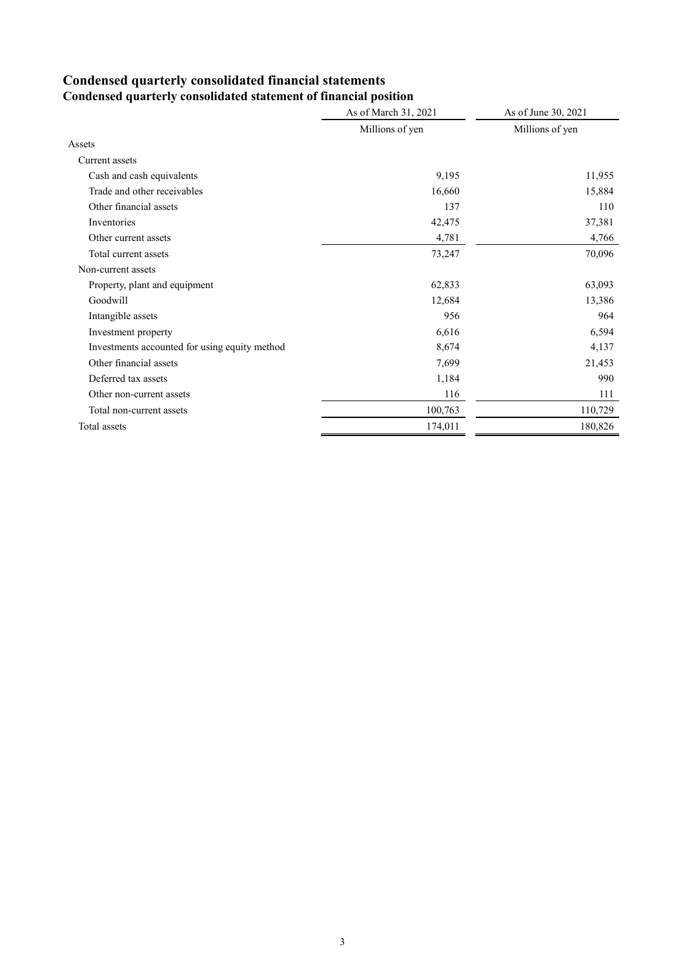# **Condensed quarterly consolidated financial statements**

|                                               | As of March 31, 2021 | As of June 30, 2021 |
|-----------------------------------------------|----------------------|---------------------|
|                                               | Millions of yen      | Millions of yen     |
| Assets                                        |                      |                     |
| Current assets                                |                      |                     |
| Cash and cash equivalents                     | 9,195                | 11,955              |
| Trade and other receivables                   | 16,660               | 15,884              |
| Other financial assets                        | 137                  | 110                 |
| Inventories                                   | 42,475               | 37,381              |
| Other current assets                          | 4,781                | 4,766               |
| Total current assets                          | 73,247               | 70,096              |
| Non-current assets                            |                      |                     |
| Property, plant and equipment                 | 62,833               | 63,093              |
| Goodwill                                      | 12,684               | 13,386              |
| Intangible assets                             | 956                  | 964                 |
| Investment property                           | 6,616                | 6,594               |
| Investments accounted for using equity method | 8,674                | 4,137               |
| Other financial assets                        | 7,699                | 21,453              |
| Deferred tax assets                           | 1,184                | 990                 |
| Other non-current assets                      | 116                  | 111                 |
| Total non-current assets                      | 100,763              | 110,729             |
| Total assets                                  | 174,011              | 180,826             |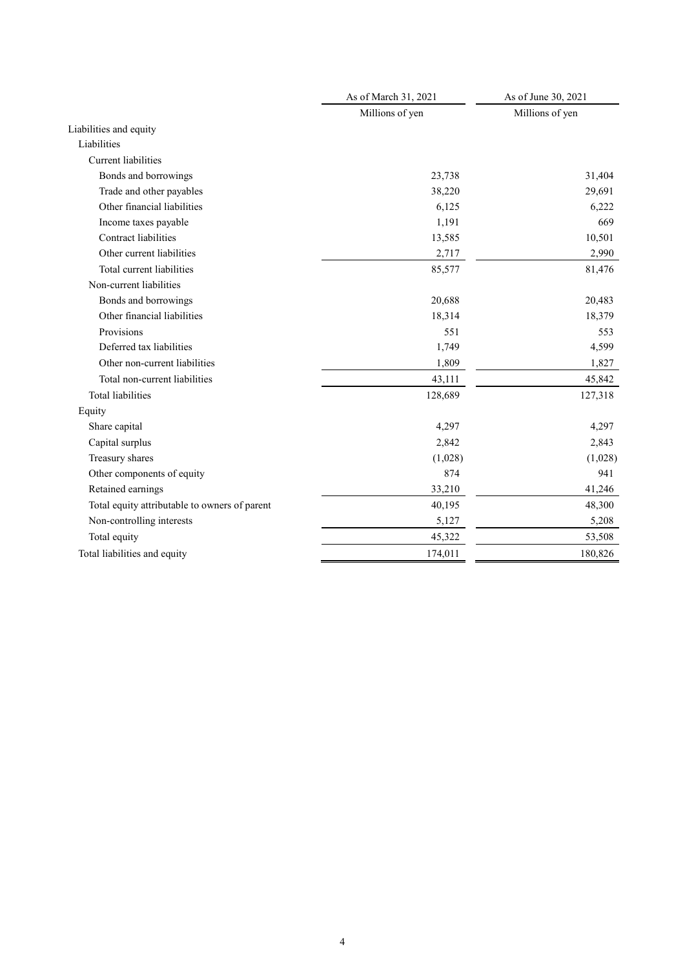|                                               | As of March 31, 2021 | As of June 30, 2021 |  |
|-----------------------------------------------|----------------------|---------------------|--|
|                                               | Millions of yen      | Millions of yen     |  |
| Liabilities and equity                        |                      |                     |  |
| Liabilities                                   |                      |                     |  |
| <b>Current</b> liabilities                    |                      |                     |  |
| Bonds and borrowings                          | 23,738               | 31,404              |  |
| Trade and other payables                      | 38,220               | 29,691              |  |
| Other financial liabilities                   | 6,125                | 6,222               |  |
| Income taxes payable                          | 1,191                | 669                 |  |
| Contract liabilities                          | 13,585               | 10,501              |  |
| Other current liabilities                     | 2,717                | 2,990               |  |
| Total current liabilities                     | 85,577               | 81,476              |  |
| Non-current liabilities                       |                      |                     |  |
| Bonds and borrowings                          | 20,688               | 20,483              |  |
| Other financial liabilities                   | 18,314               | 18,379              |  |
| Provisions                                    | 551                  | 553                 |  |
| Deferred tax liabilities                      | 1,749                | 4,599               |  |
| Other non-current liabilities                 | 1,809                | 1,827               |  |
| Total non-current liabilities                 | 43,111               | 45,842              |  |
| <b>Total liabilities</b>                      | 128,689              | 127,318             |  |
| Equity                                        |                      |                     |  |
| Share capital                                 | 4,297                | 4,297               |  |
| Capital surplus                               | 2,842                | 2,843               |  |
| Treasury shares                               | (1,028)              | (1,028)             |  |
| Other components of equity                    | 874                  | 941                 |  |
| Retained earnings                             | 33,210               | 41,246              |  |
| Total equity attributable to owners of parent | 40,195               | 48,300              |  |
| Non-controlling interests                     | 5,127                | 5,208               |  |
| Total equity                                  | 45,322               | 53,508              |  |
| Total liabilities and equity                  | 174,011              | 180,826             |  |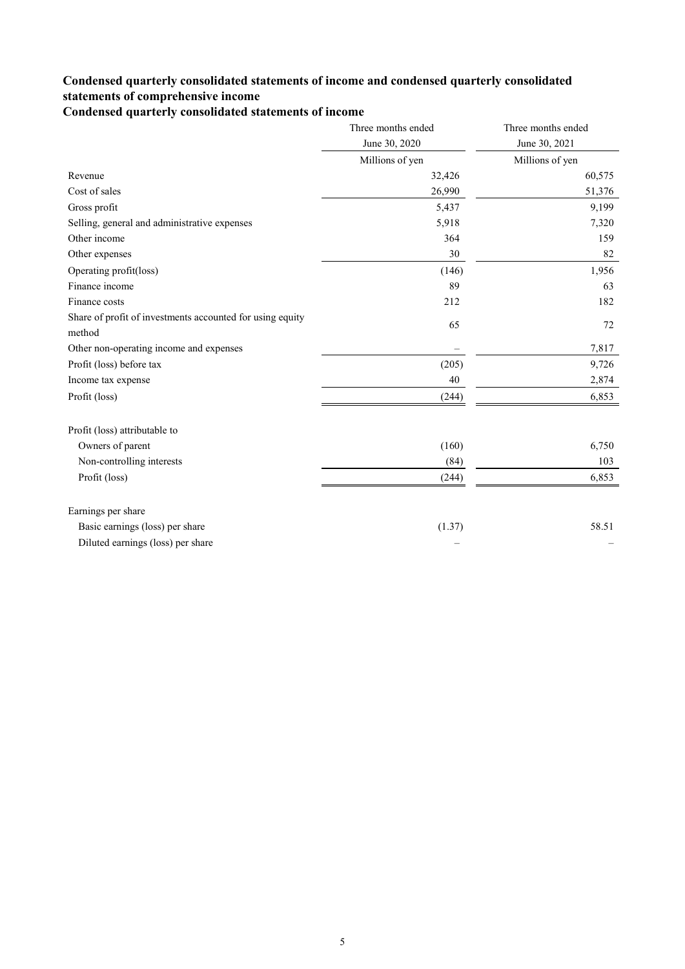### **Condensed quarterly consolidated statements of income and condensed quarterly consolidated statements of comprehensive income**

**Condensed quarterly consolidated statements of income**

|                                                           | Three months ended | Three months ended |
|-----------------------------------------------------------|--------------------|--------------------|
|                                                           | June 30, 2020      | June 30, 2021      |
|                                                           | Millions of yen    | Millions of yen    |
| Revenue                                                   | 32,426             | 60,575             |
| Cost of sales                                             | 26,990             | 51,376             |
| Gross profit                                              | 5,437              | 9,199              |
| Selling, general and administrative expenses              | 5,918              | 7,320              |
| Other income                                              | 364                | 159                |
| Other expenses                                            | 30                 | 82                 |
| Operating profit(loss)                                    | (146)              | 1,956              |
| Finance income                                            | 89                 | 63                 |
| Finance costs                                             | 212                | 182                |
| Share of profit of investments accounted for using equity | 65                 | 72                 |
| method                                                    |                    |                    |
| Other non-operating income and expenses                   |                    | 7,817              |
| Profit (loss) before tax                                  | (205)              | 9,726              |
| Income tax expense                                        | 40                 | 2,874              |
| Profit (loss)                                             | (244)              | 6,853              |
| Profit (loss) attributable to                             |                    |                    |
| Owners of parent                                          | (160)              | 6,750              |
| Non-controlling interests                                 | (84)               | 103                |
| Profit (loss)                                             | (244)              | 6,853              |
| Earnings per share                                        |                    |                    |
| Basic earnings (loss) per share                           | (1.37)             | 58.51              |
| Diluted earnings (loss) per share                         |                    |                    |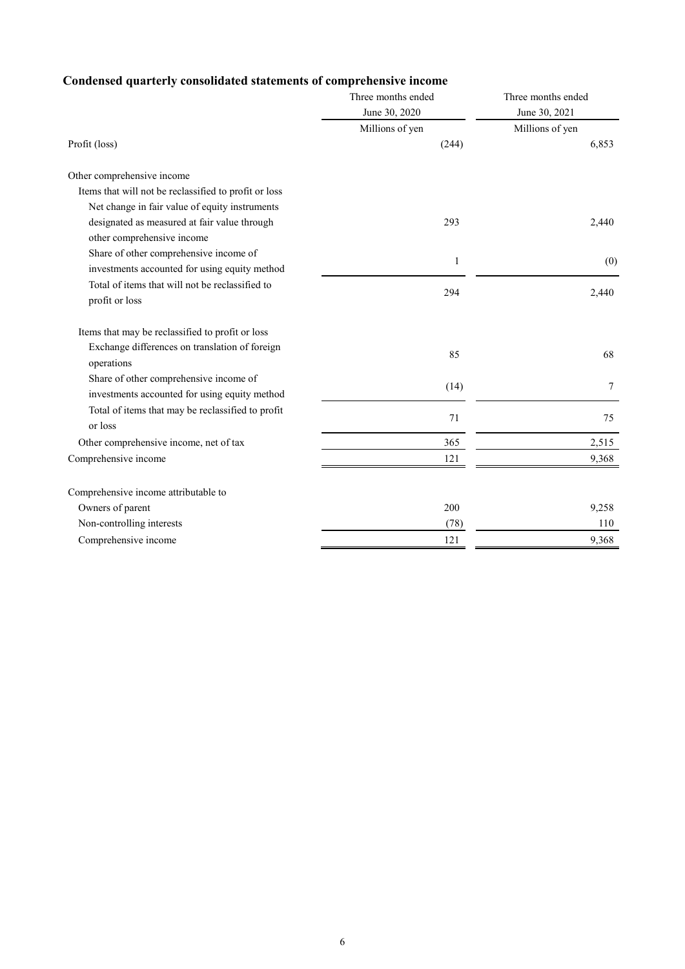## **Condensed quarterly consolidated statements of comprehensive income**

|                                                       | Three months ended<br>June 30, 2020 | Three months ended<br>June 30, 2021 |
|-------------------------------------------------------|-------------------------------------|-------------------------------------|
|                                                       | Millions of yen                     | Millions of yen                     |
| Profit (loss)                                         | (244)                               | 6,853                               |
| Other comprehensive income                            |                                     |                                     |
| Items that will not be reclassified to profit or loss |                                     |                                     |
| Net change in fair value of equity instruments        |                                     |                                     |
| designated as measured at fair value through          | 293                                 | 2,440                               |
| other comprehensive income                            |                                     |                                     |
| Share of other comprehensive income of                | $\mathbf{1}$                        | (0)                                 |
| investments accounted for using equity method         |                                     |                                     |
| Total of items that will not be reclassified to       | 294                                 | 2,440                               |
| profit or loss                                        |                                     |                                     |
| Items that may be reclassified to profit or loss      |                                     |                                     |
| Exchange differences on translation of foreign        | 85                                  | 68                                  |
| operations                                            |                                     |                                     |
| Share of other comprehensive income of                | (14)                                | 7                                   |
| investments accounted for using equity method         |                                     |                                     |
| Total of items that may be reclassified to profit     | 71                                  | 75                                  |
| or loss                                               |                                     |                                     |
| Other comprehensive income, net of tax                | 365                                 | 2,515                               |
| Comprehensive income                                  | 121                                 | 9,368                               |
| Comprehensive income attributable to                  |                                     |                                     |
| Owners of parent                                      | 200                                 | 9,258                               |
| Non-controlling interests                             | (78)                                | 110                                 |
| Comprehensive income                                  | 121                                 | 9,368                               |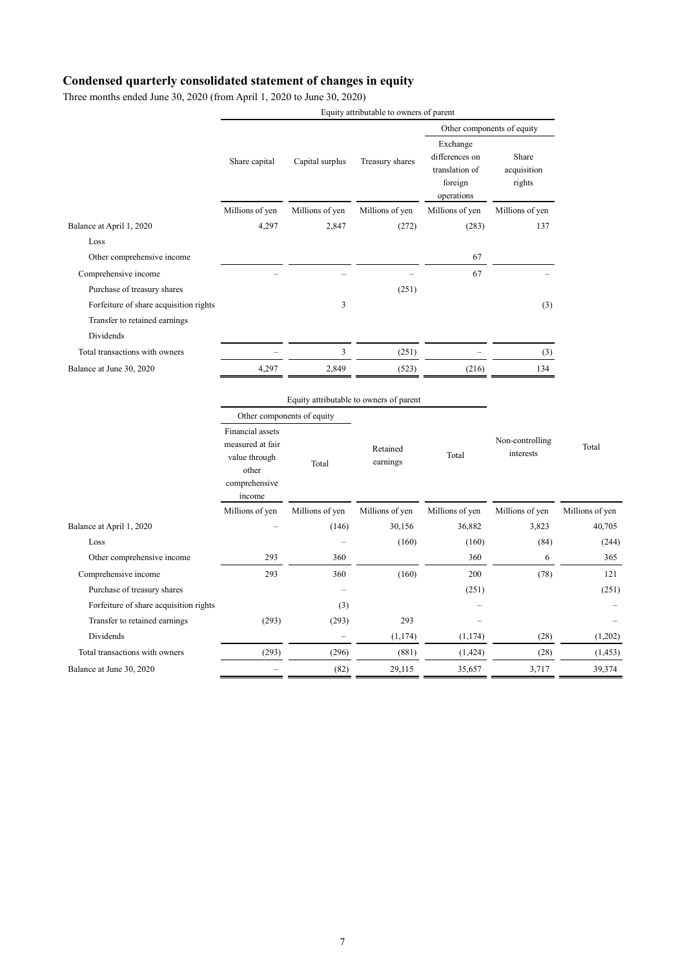#### **Condensed quarterly consolidated statement of changes in equity**

Three months ended June 30, 2020 (from April 1, 2020 to June 30, 2020)

|                                        |                                                                                           |                            | Equity attributable to owners of parent |                                                                       |                                |                 |
|----------------------------------------|-------------------------------------------------------------------------------------------|----------------------------|-----------------------------------------|-----------------------------------------------------------------------|--------------------------------|-----------------|
|                                        |                                                                                           |                            |                                         | Other components of equity                                            |                                |                 |
|                                        | Share capital                                                                             | Capital surplus            | Treasury shares                         | Exchange<br>differences on<br>translation of<br>foreign<br>operations | Share<br>acquisition<br>rights |                 |
|                                        | Millions of yen                                                                           | Millions of yen            | Millions of yen                         | Millions of yen                                                       | Millions of yen                |                 |
| Balance at April 1, 2020               | 4,297                                                                                     | 2,847                      | (272)                                   | (283)                                                                 | 137                            |                 |
| Loss                                   |                                                                                           |                            |                                         |                                                                       |                                |                 |
| Other comprehensive income             |                                                                                           |                            |                                         | 67                                                                    |                                |                 |
| Comprehensive income                   |                                                                                           |                            |                                         | 67                                                                    |                                |                 |
| Purchase of treasury shares            |                                                                                           |                            | (251)                                   |                                                                       |                                |                 |
| Forfeiture of share acquisition rights |                                                                                           | 3                          |                                         |                                                                       | (3)                            |                 |
| Transfer to retained earnings          |                                                                                           |                            |                                         |                                                                       |                                |                 |
| Dividends                              |                                                                                           |                            |                                         |                                                                       |                                |                 |
| Total transactions with owners         |                                                                                           | 3                          | (251)                                   |                                                                       | (3)                            |                 |
| Balance at June 30, 2020               | 4,297                                                                                     | 2,849                      | (523)                                   | (216)                                                                 | 134                            |                 |
|                                        | Equity attributable to owners of parent                                                   |                            |                                         |                                                                       |                                |                 |
|                                        |                                                                                           | Other components of equity |                                         |                                                                       |                                |                 |
|                                        | Financial assets<br>measured at fair<br>value through<br>other<br>comprehensive<br>income | Total                      | Retained<br>earnings                    | Total                                                                 | Non-controlling<br>interests   | Total           |
|                                        | Millions of yen                                                                           | Millions of yen            | Millions of yen                         | Millions of yen                                                       | Millions of yen                | Millions of yen |
| Balance at April 1, 2020               |                                                                                           | (146)                      | 30,156                                  | 36,882                                                                | 3,823                          | 40,705          |
| Loss                                   |                                                                                           |                            | (160)                                   | (160)                                                                 | (84)                           | (244)           |
| Other comprehensive income             | 293                                                                                       | 360                        |                                         | 360                                                                   | 6                              | 365             |
| Comprehensive income                   | 293                                                                                       | 360                        | (160)                                   | 200                                                                   | (78)                           | 121             |
| Purchase of treasury shares            |                                                                                           |                            |                                         | (251)                                                                 |                                | (251)           |
| Forfeiture of share acquisition rights |                                                                                           | (3)                        |                                         |                                                                       |                                |                 |
| Transfer to retained earnings          | (293)                                                                                     | (293)                      | 293                                     |                                                                       |                                |                 |
|                                        |                                                                                           |                            |                                         |                                                                       | (28)                           | (1,202)         |
| Dividends                              |                                                                                           |                            | (1, 174)                                | (1, 174)                                                              |                                |                 |
| Total transactions with owners         | (293)                                                                                     | (296)                      | (881)                                   | (1, 424)                                                              | (28)                           | (1, 453)        |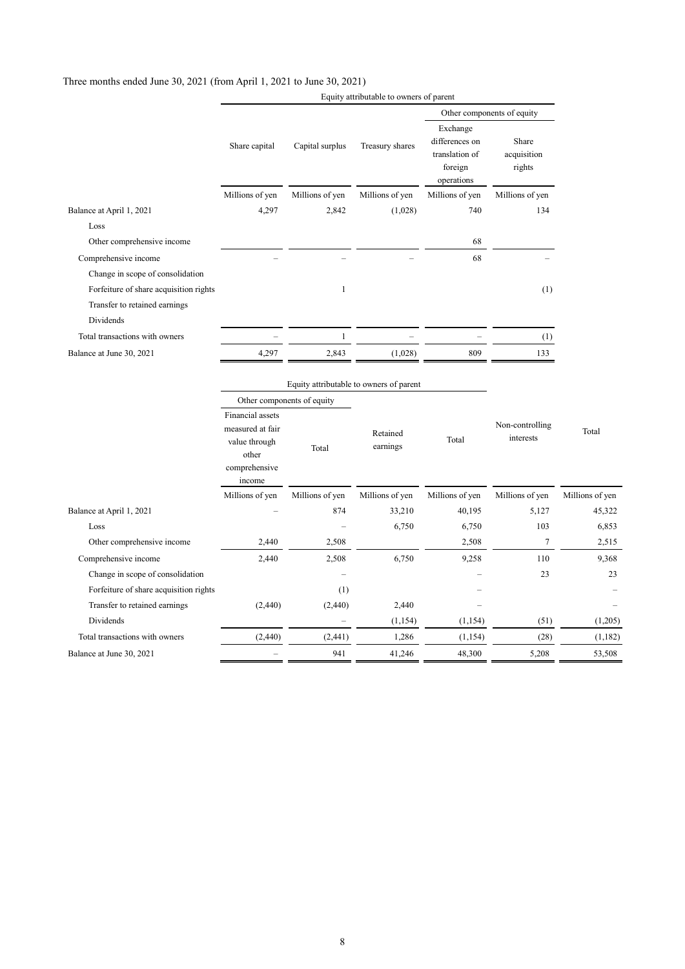#### Three months ended June 30, 2021 (from April 1, 2021 to June 30, 2021)

|                                        |                                                                                           |                 |                      | Other components of equity                                            |                                |                 |
|----------------------------------------|-------------------------------------------------------------------------------------------|-----------------|----------------------|-----------------------------------------------------------------------|--------------------------------|-----------------|
|                                        | Share capital                                                                             | Capital surplus | Treasury shares      | Exchange<br>differences on<br>translation of<br>foreign<br>operations | Share<br>acquisition<br>rights |                 |
|                                        | Millions of yen                                                                           | Millions of yen | Millions of yen      | Millions of yen                                                       | Millions of yen                |                 |
| Balance at April 1, 2021               | 4,297                                                                                     | 2,842           | (1,028)              | 740                                                                   | 134                            |                 |
| Loss                                   |                                                                                           |                 |                      |                                                                       |                                |                 |
| Other comprehensive income             |                                                                                           |                 |                      | 68                                                                    |                                |                 |
| Comprehensive income                   |                                                                                           |                 |                      | 68                                                                    |                                |                 |
| Change in scope of consolidation       |                                                                                           |                 |                      |                                                                       |                                |                 |
| Forfeiture of share acquisition rights |                                                                                           | $\mathbf{1}$    |                      |                                                                       | (1)                            |                 |
| Transfer to retained earnings          |                                                                                           |                 |                      |                                                                       |                                |                 |
| Dividends                              |                                                                                           |                 |                      |                                                                       |                                |                 |
| Total transactions with owners         |                                                                                           | $\mathbf{1}$    |                      |                                                                       | (1)                            |                 |
| Balance at June 30, 2021               | 4,297                                                                                     | 2,843           | (1,028)              | 809                                                                   | 133                            |                 |
|                                        | Equity attributable to owners of parent<br>Other components of equity                     |                 |                      |                                                                       |                                |                 |
|                                        | Financial assets<br>measured at fair<br>value through<br>other<br>comprehensive<br>income | Total           | Retained<br>earnings | Total                                                                 | Non-controlling<br>interests   | Total           |
|                                        | Millions of yen                                                                           | Millions of yen | Millions of yen      | Millions of yen                                                       | Millions of yen                | Millions of yen |
| Balance at April 1, 2021               |                                                                                           | 874             | 33,210               | 40,195                                                                | 5,127                          | 45,322          |
| Loss                                   |                                                                                           |                 | 6,750                | 6,750                                                                 | 103                            | 6,853           |
| Other comprehensive income             | 2,440                                                                                     | 2,508           |                      | 2,508                                                                 | 7                              | 2,515           |
| Comprehensive income                   | 2,440                                                                                     | 2,508           | 6,750                | 9,258                                                                 | 110                            | 9,368           |
| Change in scope of consolidation       |                                                                                           |                 |                      |                                                                       | 23                             | 23              |
| Forfeiture of share acquisition rights |                                                                                           | (1)             |                      |                                                                       |                                |                 |
| Transfer to retained earnings          | (2,440)                                                                                   | (2,440)         | 2,440                |                                                                       |                                |                 |
| Dividends                              |                                                                                           |                 | (1, 154)             | (1,154)                                                               | (51)                           | (1,205)         |
| Total transactions with owners         | (2, 440)                                                                                  | (2, 441)        | 1,286                | (1,154)                                                               | (28)                           | (1, 182)        |
| Balance at June 30, 2021               |                                                                                           | 941             | 41,246               | 48,300                                                                | 5,208                          | 53,508          |

Equity attributable to owners of parent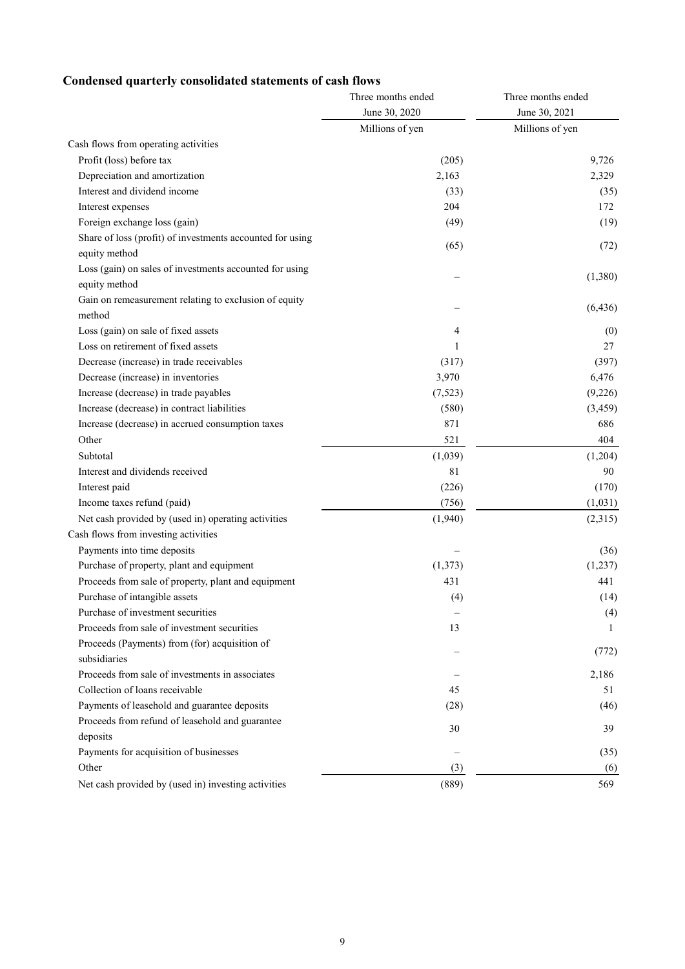## **Condensed quarterly consolidated statements of cash flows**

|                                                           | Three months ended | Three months ended |  |
|-----------------------------------------------------------|--------------------|--------------------|--|
|                                                           | June 30, 2020      | June 30, 2021      |  |
|                                                           | Millions of yen    | Millions of yen    |  |
| Cash flows from operating activities                      |                    |                    |  |
| Profit (loss) before tax                                  | (205)              | 9,726              |  |
| Depreciation and amortization                             | 2,163              | 2,329              |  |
| Interest and dividend income                              | (33)               | (35)               |  |
| Interest expenses                                         | 204                | 172                |  |
| Foreign exchange loss (gain)                              | (49)               | (19)               |  |
| Share of loss (profit) of investments accounted for using |                    |                    |  |
| equity method                                             | (65)               | (72)               |  |
| Loss (gain) on sales of investments accounted for using   |                    |                    |  |
| equity method                                             |                    | (1,380)            |  |
| Gain on remeasurement relating to exclusion of equity     |                    |                    |  |
| method                                                    |                    | (6, 436)           |  |
| Loss (gain) on sale of fixed assets                       | 4                  | (0)                |  |
| Loss on retirement of fixed assets                        | 1                  | 27                 |  |
| Decrease (increase) in trade receivables                  | (317)              | (397)              |  |
| Decrease (increase) in inventories                        | 3,970              | 6,476              |  |
| Increase (decrease) in trade payables                     | (7,523)            | (9,226)            |  |
| Increase (decrease) in contract liabilities               | (580)              | (3, 459)           |  |
| Increase (decrease) in accrued consumption taxes          | 871                | 686                |  |
| Other                                                     | 521                | 404                |  |
| Subtotal                                                  | (1,039)            | (1,204)            |  |
| Interest and dividends received                           | 81                 | 90                 |  |
| Interest paid                                             | (226)              | (170)              |  |
| Income taxes refund (paid)                                | (756)              | (1,031)            |  |
| Net cash provided by (used in) operating activities       | (1,940)            | (2,315)            |  |
| Cash flows from investing activities                      |                    |                    |  |
| Payments into time deposits                               |                    | (36)               |  |
| Purchase of property, plant and equipment                 | (1,373)            | (1,237)            |  |
| Proceeds from sale of property, plant and equipment       | 431                | 441                |  |
| Purchase of intangible assets                             | (4)                | (14)               |  |
| Purchase of investment securities                         |                    | (4)                |  |
| Proceeds from sale of investment securities               | 13                 | 1                  |  |
| Proceeds (Payments) from (for) acquisition of             |                    |                    |  |
| subsidiaries                                              |                    | (772)              |  |
| Proceeds from sale of investments in associates           |                    | 2,186              |  |
| Collection of loans receivable                            | 45                 | 51                 |  |
| Payments of leasehold and guarantee deposits              | (28)               | (46)               |  |
| Proceeds from refund of leasehold and guarantee           |                    |                    |  |
| deposits                                                  | 30                 | 39                 |  |
| Payments for acquisition of businesses                    |                    | (35)               |  |
| Other                                                     | (3)                | (6)                |  |
| Net cash provided by (used in) investing activities       | (889)              | 569                |  |